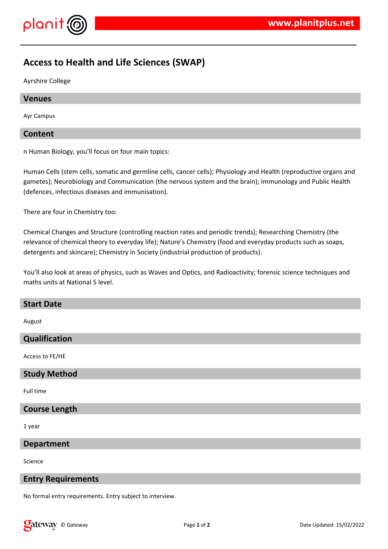

# **Access to Health and Life Sciences (SWAP)**

Ayrshire College

#### **Venues**

Ayr Campus

#### **Content**

n Human Biology, you'll focus on four main topics:

Human Cells (stem cells, somatic and germline cells, cancer cells); Physiology and Health (reproductive organs and gametes); Neurobiology and Communication (the nervous system and the brain); Immunology and Public Health (defences, infectious diseases and immunisation).

There are four in Chemistry too:

Chemical Changes and Structure (controlling reaction rates and periodic trends); Researching Chemistry (the relevance of chemical theory to everyday life); Nature's Chemistry (food and everyday products such as soaps, detergents and skincare); Chemistry in Society (industrial production of products).

You'll also look at areas of physics, such as Waves and Optics, and Radioactivity; forensic science techniques and maths units at National 5 level.

#### **Start Date**

August

#### **Qualification**

Access to FE/HE

#### **Study Method**

Full time

## **Course Length**

1 year

#### **Department**

Science

#### **Entry Requirements**

No formal entry requirements. Entry subject to interview.